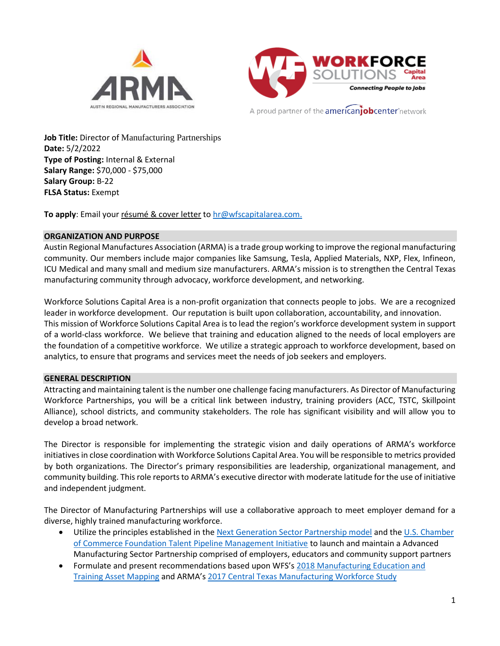



A proud partner of the **americanjobcenter** network

**Job Title:** Director of Manufacturing Partnerships **Date:** 5/2/2022 **Type of Posting:** Internal & External **Salary Range:** \$70,000 - \$75,000 **Salary Group:** B-22 **FLSA Status:** Exempt

To apply: Email your résumé & cover letter to [hr@wfscapitalarea.com.](mailto:hr@wfscapitalarea.com)

#### **ORGANIZATION AND PURPOSE**

Austin Regional Manufactures Association (ARMA) is a trade group working to improve the regional manufacturing community. Our members include major companies like Samsung, Tesla, Applied Materials, NXP, Flex, Infineon, ICU Medical and many small and medium size manufacturers. ARMA's mission is to strengthen the Central Texas manufacturing community through advocacy, workforce development, and networking.

Workforce Solutions Capital Area is a non-profit organization that connects people to jobs. We are a recognized leader in workforce development. Our reputation is built upon collaboration, accountability, and innovation. This mission of Workforce Solutions Capital Area is to lead the region's workforce development system in support of a world-class workforce. We believe that training and education aligned to the needs of local employers are the foundation of a competitive workforce. We utilize a strategic approach to workforce development, based on analytics, to ensure that programs and services meet the needs of job seekers and employers.

#### **GENERAL DESCRIPTION**

Attracting and maintaining talent is the number one challenge facing manufacturers. As Director of Manufacturing Workforce Partnerships, you will be a critical link between industry, training providers (ACC, TSTC, Skillpoint Alliance), school districts, and community stakeholders. The role has significant visibility and will allow you to develop a broad network.

The Director is responsible for implementing the strategic vision and daily operations of ARMA's workforce initiatives in close coordination with Workforce Solutions Capital Area. You will be responsible to metrics provided by both organizations. The Director's primary responsibilities are leadership, organizational management, and community building. This role reports to ARMA's executive director with moderate latitude for the use of initiative and independent judgment.

The Director of Manufacturing Partnerships will use a collaborative approach to meet employer demand for a diverse, highly trained manufacturing workforce.

- Utilize the principles established in the [Next Generation Sector Partnership model](https://www.nextgensectorpartnerships.com/) and the U.S. Chamber [of Commerce Foundation Talent Pipeline Management Initiative](https://www.uschamberfoundation.org/talent-pipeline-management) to launch and maintain a Advanced Manufacturing Sector Partnership comprised of employers, educators and community support partners
- Formulate and present recommendations based upon WFS's [2018 Manufacturing Education and](https://www.wfscapitalarea.com/reports-insights/labor-market/2018-manufacturing-education-and-training-asset-mapping/)  [Training Asset Mapping](https://www.wfscapitalarea.com/reports-insights/labor-market/2018-manufacturing-education-and-training-asset-mapping/) and ARMA's [2017 Central Texas Manufacturing Workforce Study](https://www.wfscapitalarea.com/reports-insights/labor-market/2017-central-texas-manufacturing-workforce-study/)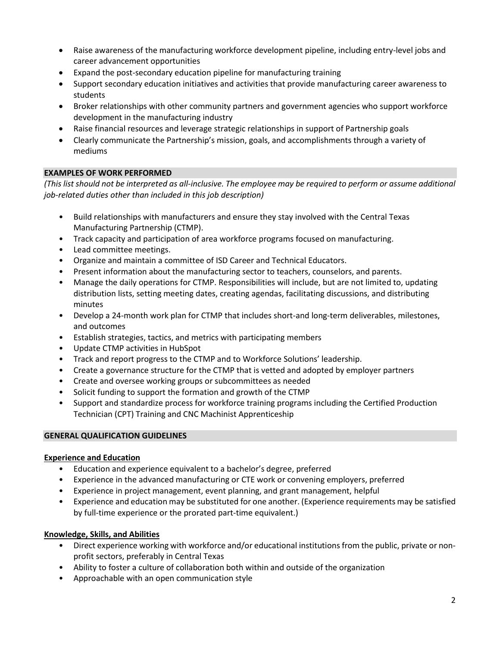- Raise awareness of the manufacturing workforce development pipeline, including entry-level jobs and career advancement opportunities
- Expand the post-secondary education pipeline for manufacturing training
- Support secondary education initiatives and activities that provide manufacturing career awareness to students
- Broker relationships with other community partners and government agencies who support workforce development in the manufacturing industry
- Raise financial resources and leverage strategic relationships in support of Partnership goals
- Clearly communicate the Partnership's mission, goals, and accomplishments through a variety of mediums

# **EXAMPLES OF WORK PERFORMED**

*(This list should not be interpreted as all-inclusive. The employee may be required to perform or assume additional job-related duties other than included in this job description)*

- Build relationships with manufacturers and ensure they stay involved with the Central Texas Manufacturing Partnership (CTMP).
- Track capacity and participation of area workforce programs focused on manufacturing.
- Lead committee meetings.
- Organize and maintain a committee of ISD Career and Technical Educators.
- Present information about the manufacturing sector to teachers, counselors, and parents.
- Manage the daily operations for CTMP. Responsibilities will include, but are not limited to, updating distribution lists, setting meeting dates, creating agendas, facilitating discussions, and distributing minutes
- Develop a 24-month work plan for CTMP that includes short-and long-term deliverables, milestones, and outcomes
- Establish strategies, tactics, and metrics with participating members
- Update CTMP activities in HubSpot
- Track and report progress to the CTMP and to Workforce Solutions' leadership.
- Create a governance structure for the CTMP that is vetted and adopted by employer partners
- Create and oversee working groups or subcommittees as needed
- Solicit funding to support the formation and growth of the CTMP
- Support and standardize process for workforce training programs including the Certified Production Technician (CPT) Training and CNC Machinist Apprenticeship

## **GENERAL QUALIFICATION GUIDELINES**

## **Experience and Education**

- Education and experience equivalent to a bachelor's degree, preferred
- Experience in the advanced manufacturing or CTE work or convening employers, preferred
- Experience in project management, event planning, and grant management, helpful
- Experience and education may be substituted for one another. (Experience requirements may be satisfied by full-time experience or the prorated part-time equivalent.)

## **Knowledge, Skills, and Abilities**

- Direct experience working with workforce and/or educational institutions from the public, private or nonprofit sectors, preferably in Central Texas
- Ability to foster a culture of collaboration both within and outside of the organization
- Approachable with an open communication style